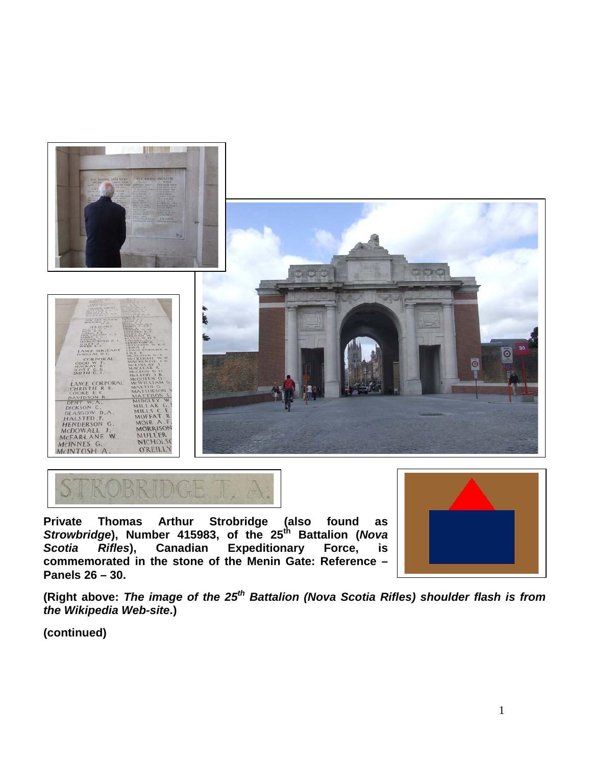



**Private Thomas Arthur Strobridge (also found as**  *Strowbridge***), Number 415983, of the 25th Battalion (***Nova Scotia Rifles***), Canadian Expeditionary Force, is commemorated in the stone of the Menin Gate: Reference – Panels 26 – 30.**



**(Right above:** *The image of the 25th Battalion (Nova Scotia Rifles) shoulder flash is from the Wikipedia Web-site***.)**

**(continued)**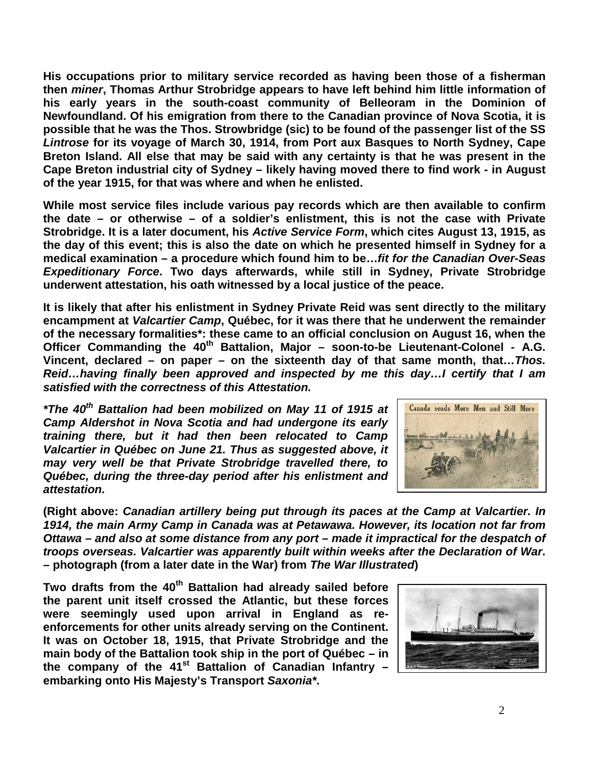**His occupations prior to military service recorded as having been those of a fisherman then** *miner***, Thomas Arthur Strobridge appears to have left behind him little information of his early years in the south-coast community of Belleoram in the Dominion of Newfoundland. Of his emigration from there to the Canadian province of Nova Scotia, it is possible that he was the Thos. Strowbridge (sic) to be found of the passenger list of the SS**  *Lintrose* **for its voyage of March 30, 1914, from Port aux Basques to North Sydney, Cape Breton Island. All else that may be said with any certainty is that he was present in the Cape Breton industrial city of Sydney – likely having moved there to find work - in August of the year 1915, for that was where and when he enlisted.**

**While most service files include various pay records which are then available to confirm the date – or otherwise – of a soldier's enlistment, this is not the case with Private Strobridge. It is a later document, his** *Active Service Form***, which cites August 13, 1915, as the day of this event; this is also the date on which he presented himself in Sydney for a medical examination – a procedure which found him to be…***fit for the Canadian Over-Seas Expeditionary Force***. Two days afterwards, while still in Sydney, Private Strobridge underwent attestation, his oath witnessed by a local justice of the peace.**

**It is likely that after his enlistment in Sydney Private Reid was sent directly to the military encampment at** *Valcartier Camp***, Québec, for it was there that he underwent the remainder of the necessary formalities\*: these came to an official conclusion on August 16, when the**  Officer Commanding the 40<sup>th</sup> Battalion, Major – soon-to-be Lieutenant-Colonel - A.G. **Vincent, declared – on paper – on the sixteenth day of that same month, that…***Thos. Reid…having finally been approved and inspected by me this day…I certify that I am satisfied with the correctness of this Attestation.*

*\*The 40th Battalion had been mobilized on May 11 of 1915 at Camp Aldershot in Nova Scotia and had undergone its early training there, but it had then been relocated to Camp Valcartier in Québec on June 21. Thus as suggested above, it may very well be that Private Strobridge travelled there, to Québec, during the three-day period after his enlistment and attestation.*



**(Right above:** *Canadian artillery being put through its paces at the Camp at Valcartier. In 1914, the main Army Camp in Canada was at Petawawa. However, its location not far from Ottawa – and also at some distance from any port – made it impractical for the despatch of troops overseas. Valcartier was apparently built within weeks after the Declaration of War***. – photograph (from a later date in the War) from** *The War Illustrated***)** 

**Two drafts from the 40th Battalion had already sailed before the parent unit itself crossed the Atlantic, but these forces were seemingly used upon arrival in England as reenforcements for other units already serving on the Continent. It was on October 18, 1915, that Private Strobridge and the main body of the Battalion took ship in the port of Québec – in the company of the 41st Battalion of Canadian Infantry – embarking onto His Majesty's Transport** *Saxonia\****.**

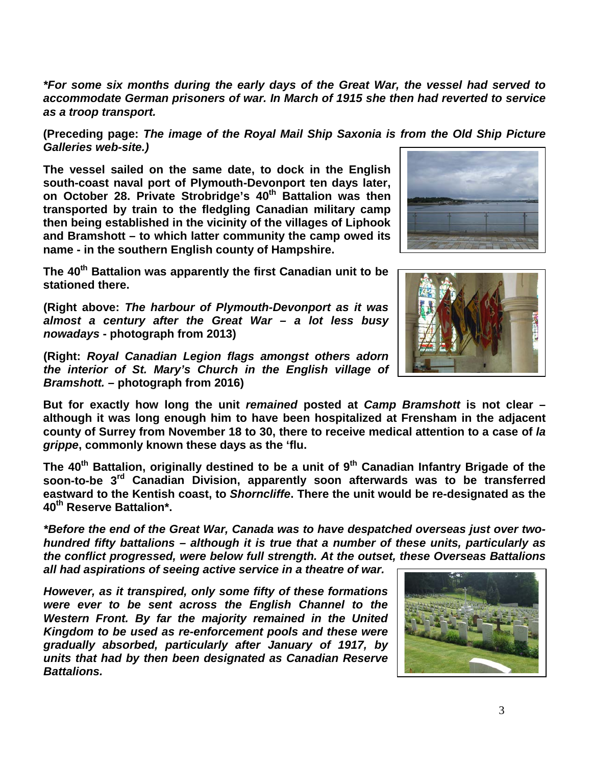*\*For some six months during the early days of the Great War, the vessel had served to accommodate German prisoners of war. In March of 1915 she then had reverted to service as a troop transport.* 

**(Preceding page:** *The image of the Royal Mail Ship Saxonia is from the Old Ship Picture Galleries web-site.)*

**The vessel sailed on the same date, to dock in the English south-coast naval port of Plymouth-Devonport ten days later, on October 28. Private Strobridge's 40th Battalion was then transported by train to the fledgling Canadian military camp then being established in the vicinity of the villages of Liphook and Bramshott – to which latter community the camp owed its name - in the southern English county of Hampshire.** 

**The 40th Battalion was apparently the first Canadian unit to be stationed there.** 

**(Right above:** *The harbour of Plymouth-Devonport as it was almost a century after the Great War – a lot less busy nowadays* **- photograph from 2013)**

**(Right:** *Royal Canadian Legion flags amongst others adorn the interior of St. Mary's Church in the English village of Bramshott.* **– photograph from 2016)**

**But for exactly how long the unit** *remained* **posted at** *Camp Bramshott* **is not clear – although it was long enough him to have been hospitalized at Frensham in the adjacent county of Surrey from November 18 to 30, there to receive medical attention to a case of** *la grippe***, commonly known these days as the 'flu.**

**The 40th Battalion, originally destined to be a unit of 9th Canadian Infantry Brigade of the soon-to-be 3rd Canadian Division, apparently soon afterwards was to be transferred eastward to the Kentish coast, to** *Shorncliffe***. There the unit would be re-designated as the 40th Reserve Battalion\*.**

*\*Before the end of the Great War, Canada was to have despatched overseas just over twohundred fifty battalions – although it is true that a number of these units, particularly as the conflict progressed, were below full strength. At the outset, these Overseas Battalions all had aspirations of seeing active service in a theatre of war.*

*However, as it transpired, only some fifty of these formations were ever to be sent across the English Channel to the Western Front. By far the majority remained in the United Kingdom to be used as re-enforcement pools and these were gradually absorbed, particularly after January of 1917, by units that had by then been designated as Canadian Reserve Battalions.*



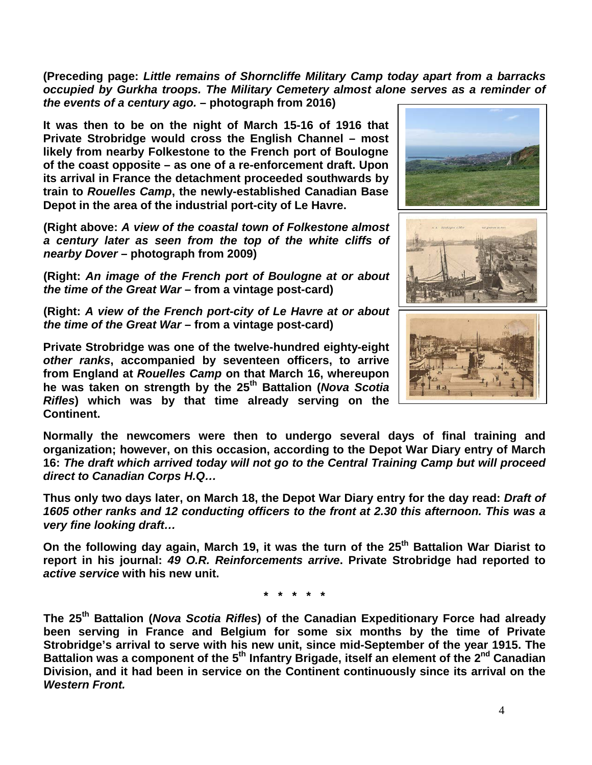**(Preceding page:** *Little remains of Shorncliffe Military Camp today apart from a barracks occupied by Gurkha troops. The Military Cemetery almost alone serves as a reminder of the events of a century ago.* **– photograph from 2016)**

**It was then to be on the night of March 15-16 of 1916 that Private Strobridge would cross the English Channel – most likely from nearby Folkestone to the French port of Boulogne of the coast opposite – as one of a re-enforcement draft. Upon its arrival in France the detachment proceeded southwards by train to** *Rouelles Camp***, the newly-established Canadian Base Depot in the area of the industrial port-city of Le Havre.**

**(Right above:** *A view of the coastal town of Folkestone almost a century later as seen from the top of the white cliffs of nearby Dover* **– photograph from 2009)**

**(Right:** *An image of the French port of Boulogne at or about the time of the Great War* **– from a vintage post-card)**

**(Right:** *A view of the French port-city of Le Havre at or about the time of the Great War* **– from a vintage post-card)**

**Private Strobridge was one of the twelve-hundred eighty-eight**  *other ranks***, accompanied by seventeen officers, to arrive from England at** *Rouelles Camp* **on that March 16, whereupon he was taken on strength by the 25th Battalion (***Nova Scotia Rifles***) which was by that time already serving on the Continent.** 



**Normally the newcomers were then to undergo several days of final training and organization; however, on this occasion, according to the Depot War Diary entry of March 16:** *The draft which arrived today will not go to the Central Training Camp but will proceed direct to Canadian Corps H.Q…*

**Thus only two days later, on March 18, the Depot War Diary entry for the day read:** *Draft of 1605 other ranks and 12 conducting officers to the front at 2.30 this afternoon. This was a very fine looking draft…*

**On the following day again, March 19, it was the turn of the 25th Battalion War Diarist to report in his journal:** *49 O.R. Reinforcements arrive***. Private Strobridge had reported to**  *active service* **with his new unit.**

**\* \* \* \* \***

**The 25th Battalion (***Nova Scotia Rifles***) of the Canadian Expeditionary Force had already been serving in France and Belgium for some six months by the time of Private Strobridge's arrival to serve with his new unit, since mid-September of the year 1915. The Battalion was a component of the 5th Infantry Brigade, itself an element of the 2nd Canadian Division, and it had been in service on the Continent continuously since its arrival on the**  *Western Front.*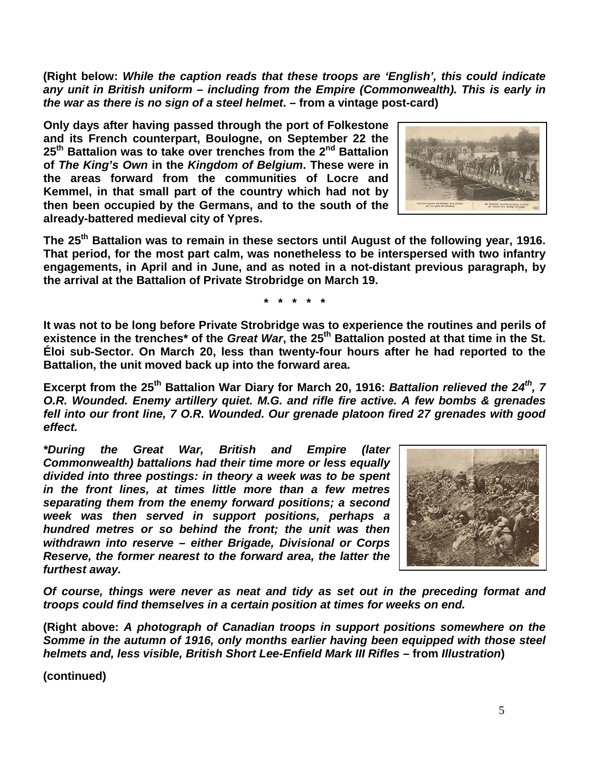**(Right below:** *While the caption reads that these troops are 'English', this could indicate any unit in British uniform – including from the Empire (Commonwealth). This is early in the war as there is no sign of a steel helmet***. – from a vintage post-card)**

**Only days after having passed through the port of Folkestone and its French counterpart, Boulogne, on September 22 the 25th Battalion was to take over trenches from the 2nd Battalion of** *The King's Own* **in the** *Kingdom of Belgium***. These were in the areas forward from the communities of Locre and Kemmel, in that small part of the country which had not by then been occupied by the Germans, and to the south of the already-battered medieval city of Ypres.**

**The 25th Battalion was to remain in these sectors until August of the following year, 1916. That period, for the most part calm, was nonetheless to be interspersed with two infantry engagements, in April and in June, and as noted in a not-distant previous paragraph, by the arrival at the Battalion of Private Strobridge on March 19.**

**\* \* \* \* \***

**It was not to be long before Private Strobridge was to experience the routines and perils of existence in the trenches\* of the** *Great War***, the 25th Battalion posted at that time in the St. Éloi sub-Sector. On March 20, less than twenty-four hours after he had reported to the Battalion, the unit moved back up into the forward area.** 

**Excerpt from the 25th Battalion War Diary for March 20, 1916:** *Battalion relieved the 24th, 7 O.R. Wounded. Enemy artillery quiet. M.G. and rifle fire active. A few bombs & grenades fell into our front line, 7 O.R. Wounded. Our grenade platoon fired 27 grenades with good effect.*

*\*During the Great War, British and Empire (later Commonwealth) battalions had their time more or less equally divided into three postings: in theory a week was to be spent in the front lines, at times little more than a few metres separating them from the enemy forward positions; a second week was then served in support positions, perhaps a hundred metres or so behind the front; the unit was then withdrawn into reserve – either Brigade, Divisional or Corps Reserve, the former nearest to the forward area, the latter the furthest away.*

*Of course, things were never as neat and tidy as set out in the preceding format and troops could find themselves in a certain position at times for weeks on end.*

**(Right above:** *A photograph of Canadian troops in support positions somewhere on the Somme in the autumn of 1916, only months earlier having been equipped with those steel helmets and, less visible, British Short Lee-Enfield Mark III Rifles* **– from** *Illustration***)**

**(continued)**



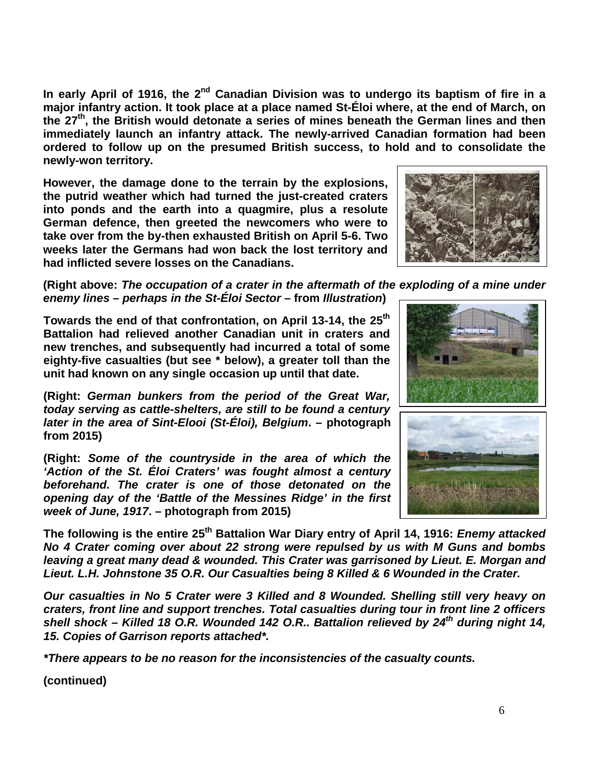In early April of 1916, the 2<sup>nd</sup> Canadian Division was to undergo its baptism of fire in a **major infantry action. It took place at a place named St-Éloi where, at the end of March, on the 27th, the British would detonate a series of mines beneath the German lines and then immediately launch an infantry attack. The newly-arrived Canadian formation had been ordered to follow up on the presumed British success, to hold and to consolidate the newly-won territory.**

**However, the damage done to the terrain by the explosions, the putrid weather which had turned the just-created craters into ponds and the earth into a quagmire, plus a resolute German defence, then greeted the newcomers who were to take over from the by-then exhausted British on April 5-6. Two weeks later the Germans had won back the lost territory and had inflicted severe losses on the Canadians.**



**(Right above:** *The occupation of a crater in the aftermath of the exploding of a mine under enemy lines – perhaps in the St-Éloi Sector* **– from** *Illustration***)**

Towards the end of that confrontation, on April 13-14, the 25<sup>th</sup> **Battalion had relieved another Canadian unit in craters and new trenches, and subsequently had incurred a total of some eighty-five casualties (but see \* below), a greater toll than the unit had known on any single occasion up until that date.**

**(Right:** *German bunkers from the period of the Great War, today serving as cattle-shelters, are still to be found a century later in the area of Sint-Elooi (St-Éloi), Belgium***. – photograph from 2015)**

**(Right:** *Some of the countryside in the area of which the 'Action of the St. Éloi Craters' was fought almost a century beforehand. The crater is one of those detonated on the opening day of the 'Battle of the Messines Ridge' in the first week of June, 1917***. – photograph from 2015)**



**The following is the entire 25th Battalion War Diary entry of April 14, 1916:** *Enemy attacked No 4 Crater coming over about 22 strong were repulsed by us with M Guns and bombs leaving a great many dead & wounded. This Crater was garrisoned by Lieut. E. Morgan and Lieut. L.H. Johnstone 35 O.R. Our Casualties being 8 Killed & 6 Wounded in the Crater.*

*Our casualties in No 5 Crater were 3 Killed and 8 Wounded. Shelling still very heavy on craters, front line and support trenches. Total casualties during tour in front line 2 officers shell shock – Killed 18 O.R. Wounded 142 O.R.. Battalion relieved by 24th during night 14, 15. Copies of Garrison reports attached\*.*

*\*There appears to be no reason for the inconsistencies of the casualty counts.*

**(continued)**